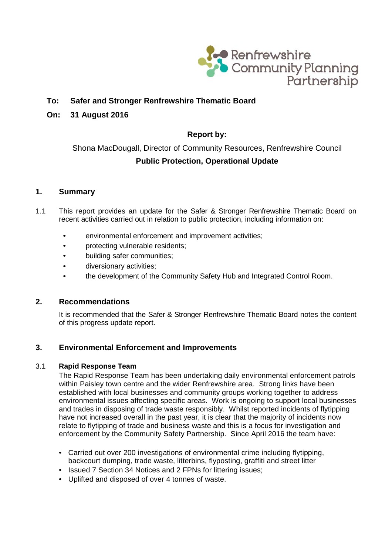

# **To: Safer and Stronger Renfrewshire Thematic Board**

## **On: 31 August 2016**

# **Report by:**

Shona MacDougall, Director of Community Resources, Renfrewshire Council **Public Protection, Operational Update**

## **1. Summary**

- 1.1 This report provides an update for the Safer & Stronger Renfrewshire Thematic Board on recent activities carried out in relation to public protection, including information on:
	- environmental enforcement and improvement activities;
	- protecting vulnerable residents;
	- building safer communities;
	- diversionary activities;
	- the development of the Community Safety Hub and Integrated Control Room.

### **2. Recommendations**

It is recommended that the Safer & Stronger Renfrewshire Thematic Board notes the content of this progress update report.

## **3. Environmental Enforcement and Improvements**

### 3.1 **Rapid Response Team**

The Rapid Response Team has been undertaking daily environmental enforcement patrols within Paisley town centre and the wider Renfrewshire area. Strong links have been established with local businesses and community groups working together to address environmental issues affecting specific areas. Work is ongoing to support local businesses and trades in disposing of trade waste responsibly. Whilst reported incidents of flytipping have not increased overall in the past year, it is clear that the majority of incidents now relate to flytipping of trade and business waste and this is a focus for investigation and enforcement by the Community Safety Partnership. Since April 2016 the team have:

- Carried out over 200 investigations of environmental crime including flytipping, backcourt dumping, trade waste, litterbins, flyposting, graffiti and street litter
- Issued 7 Section 34 Notices and 2 FPNs for littering issues;
- Uplifted and disposed of over 4 tonnes of waste.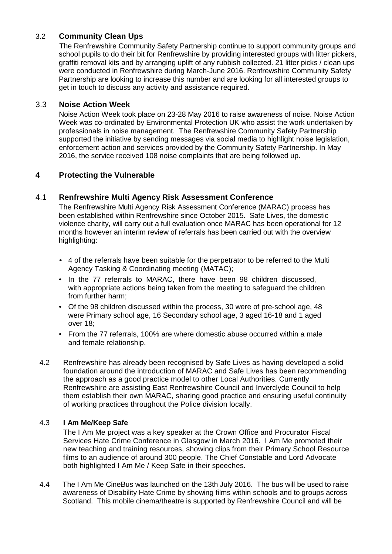# 3.2 **Community Clean Ups**

The Renfrewshire Community Safety Partnership continue to support community groups and school pupils to do their bit for Renfrewshire by providing interested groups with litter pickers, graffiti removal kits and by arranging uplift of any rubbish collected. 21 litter picks / clean ups were conducted in Renfrewshire during March-June 2016. Renfrewshire Community Safety Partnership are looking to increase this number and are looking for all interested groups to get in touch to discuss any activity and assistance required.

## 3.3 **Noise Action Week**

Noise Action Week took place on 23-28 May 2016 to raise awareness of noise. Noise Action Week was co-ordinated by Environmental Protection UK who assist the work undertaken by professionals in noise management. The Renfrewshire Community Safety Partnership supported the initiative by sending messages via social media to highlight noise legislation, enforcement action and services provided by the Community Safety Partnership. In May 2016, the service received 108 noise complaints that are being followed up.

# **4 Protecting the Vulnerable**

## 4.1 **Renfrewshire Multi Agency Risk Assessment Conference**

The Renfrewshire Multi Agency Risk Assessment Conference (MARAC) process has been established within Renfrewshire since October 2015. Safe Lives, the domestic violence charity, will carry out a full evaluation once MARAC has been operational for 12 months however an interim review of referrals has been carried out with the overview highlighting:

- 4 of the referrals have been suitable for the perpetrator to be referred to the Multi Agency Tasking & Coordinating meeting (MATAC);
- In the 77 referrals to MARAC, there have been 98 children discussed, with appropriate actions being taken from the meeting to safeguard the children from further harm;
- Of the 98 children discussed within the process, 30 were of pre-school age, 48 were Primary school age, 16 Secondary school age, 3 aged 16-18 and 1 aged over 18;
- From the 77 referrals, 100% are where domestic abuse occurred within a male and female relationship.
- 4.2 Renfrewshire has already been recognised by Safe Lives as having developed a solid foundation around the introduction of MARAC and Safe Lives has been recommending the approach as a good practice model to other Local Authorities. Currently Renfrewshire are assisting East Renfrewshire Council and Inverclyde Council to help them establish their own MARAC, sharing good practice and ensuring useful continuity of working practices throughout the Police division locally.

## 4.3 **I Am Me/Keep Safe**

The I Am Me project was a key speaker at the Crown Office and Procurator Fiscal Services Hate Crime Conference in Glasgow in March 2016. I Am Me promoted their new teaching and training resources, showing clips from their Primary School Resource films to an audience of around 300 people. The Chief Constable and Lord Advocate both highlighted I Am Me / Keep Safe in their speeches.

4.4 The I Am Me CineBus was launched on the 13th July 2016. The bus will be used to raise awareness of Disability Hate Crime by showing films within schools and to groups across Scotland. This mobile cinema/theatre is supported by Renfrewshire Council and will be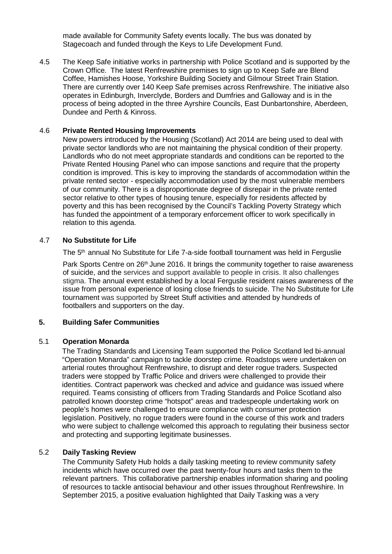made available for Community Safety events locally. The bus was donated by Stagecoach and funded through the Keys to Life Development Fund.

4.5 The Keep Safe initiative works in partnership with Police Scotland and is supported by the Crown Office. The latest Renfrewshire premises to sign up to Keep Safe are Blend Coffee, Hamishes Hoose, Yorkshire Building Society and Gilmour Street Train Station. There are currently over 140 Keep Safe premises across Renfrewshire. The initiative also operates in Edinburgh, Inverclyde, Borders and Dumfries and Galloway and is in the process of being adopted in the three Ayrshire Councils, East Dunbartonshire, Aberdeen, Dundee and Perth & Kinross.

#### 4.6 **Private Rented Housing Improvements**

New powers introduced by the Housing (Scotland) Act 2014 are being used to deal with private sector landlords who are not maintaining the physical condition of their property. Landlords who do not meet appropriate standards and conditions can be reported to the Private Rented Housing Panel who can impose sanctions and require that the property condition is improved. This is key to improving the standards of accommodation within the private rented sector - especially accommodation used by the most vulnerable members of our community. There is a disproportionate degree of disrepair in the private rented sector relative to other types of housing tenure, especially for residents affected by poverty and this has been recognised by the Council's Tackling Poverty Strategy which has funded the appointment of a temporary enforcement officer to work specifically in relation to this agenda.

#### 4.7 **No Substitute for Life**

The 5<sup>th</sup> annual No Substitute for Life 7-a-side football tournament was held in Ferguslie

Park Sports Centre on 26<sup>th</sup> June 2016. It brings the community together to raise awareness of suicide, and the services and support available to people in crisis. It also challenges stigma. The annual event established by a local Ferguslie resident raises awareness of the issue from personal experience of losing close friends to suicide. The No Substitute for Life tournament was supported by Street Stuff activities and attended by hundreds of footballers and supporters on the day.

### **5. Building Safer Communities**

#### 5.1 **Operation Monarda**

The Trading Standards and Licensing Team supported the Police Scotland led bi-annual "Operation Monarda" campaign to tackle doorstep crime. Roadstops were undertaken on arterial routes throughout Renfrewshire, to disrupt and deter rogue traders. Suspected traders were stopped by Traffic Police and drivers were challenged to provide their identities. Contract paperwork was checked and advice and guidance was issued where required. Teams consisting of officers from Trading Standards and Police Scotland also patrolled known doorstep crime "hotspot" areas and tradespeople undertaking work on people's homes were challenged to ensure compliance with consumer protection legislation. Positively, no rogue traders were found in the course of this work and traders who were subject to challenge welcomed this approach to regulating their business sector and protecting and supporting legitimate businesses.

### 5.2 **Daily Tasking Review**

The Community Safety Hub holds a daily tasking meeting to review community safety incidents which have occurred over the past twenty-four hours and tasks them to the relevant partners. This collaborative partnership enables information sharing and pooling of resources to tackle antisocial behaviour and other issues throughout Renfrewshire. In September 2015, a positive evaluation highlighted that Daily Tasking was a very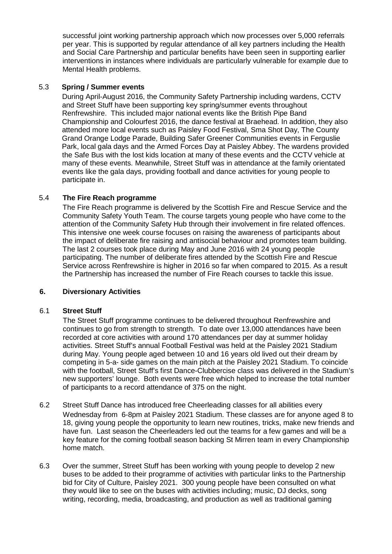successful joint working partnership approach which now processes over 5,000 referrals per year. This is supported by regular attendance of all key partners including the Health and Social Care Partnership and particular benefits have been seen in supporting earlier interventions in instances where individuals are particularly vulnerable for example due to Mental Health problems.

### 5.3 **Spring / Summer events**

During April-August 2016, the Community Safety Partnership including wardens, CCTV and Street Stuff have been supporting key spring/summer events throughout Renfrewshire. This included major national events like the British Pipe Band Championship and Colourfest 2016, the dance festival at Braehead. In addition, they also attended more local events such as Paisley Food Festival, Sma Shot Day, The County Grand Orange Lodge Parade, Building Safer Greener Communities events in Ferguslie Park, local gala days and the Armed Forces Day at Paisley Abbey. The wardens provided the Safe Bus with the lost kids location at many of these events and the CCTV vehicle at many of these events. Meanwhile, Street Stuff was in attendance at the family orientated events like the gala days, providing football and dance activities for young people to participate in.

### 5.4 **The Fire Reach programme**

The Fire Reach programme is delivered by the Scottish Fire and Rescue Service and the Community Safety Youth Team. The course targets young people who have come to the attention of the Community Safety Hub through their involvement in fire related offences. This intensive one week course focuses on raising the awareness of participants about the impact of deliberate fire raising and antisocial behaviour and promotes team building. The last 2 courses took place during May and June 2016 with 24 young people participating. The number of deliberate fires attended by the Scottish Fire and Rescue Service across Renfrewshire is higher in 2016 so far when compared to 2015. As a result the Partnership has increased the number of Fire Reach courses to tackle this issue.

### **6. Diversionary Activities**

### 6.1 **Street Stuff**

The Street Stuff programme continues to be delivered throughout Renfrewshire and continues to go from strength to strength. To date over 13,000 attendances have been recorded at core activities with around 170 attendances per day at summer holiday activities. Street Stuff's annual Football Festival was held at the Paisley 2021 Stadium during May. Young people aged between 10 and 16 years old lived out their dream by competing in 5-a- side games on the main pitch at the Paisley 2021 Stadium. To coincide with the football, Street Stuff's first Dance-Clubbercise class was delivered in the Stadium's new supporters' lounge. Both events were free which helped to increase the total number of participants to a record attendance of 375 on the night.

- 6.2 Street Stuff Dance has introduced free Cheerleading classes for all abilities every Wednesday from 6-8pm at Paisley 2021 Stadium. These classes are for anyone aged 8 to 18, giving young people the opportunity to learn new routines, tricks, make new friends and have fun. Last season the Cheerleaders led out the teams for a few games and will be a key feature for the coming football season backing St Mirren team in every Championship home match.
- 6.3 Over the summer, Street Stuff has been working with young people to develop 2 new buses to be added to their programme of activities with particular links to the Partnership bid for City of Culture, Paisley 2021. 300 young people have been consulted on what they would like to see on the buses with activities including; music, DJ decks, song writing, recording, media, broadcasting, and production as well as traditional gaming